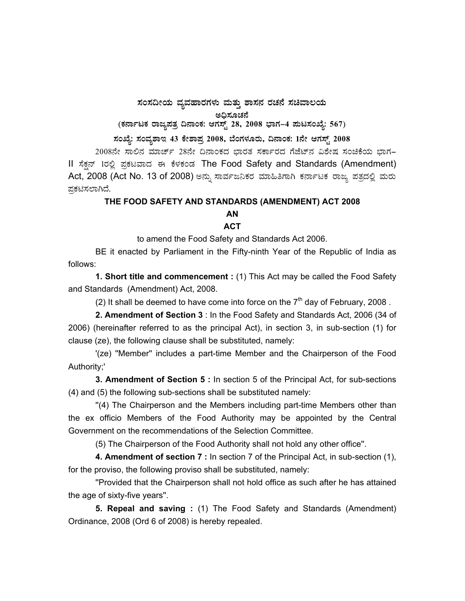## $\pi$ ನಂಸದೀಯ ವ್ಯವಹಾರಗಳು ಮತ್ತು ಶಾಸನ ರಚನೆ ಸಚಿವಾಲಯ

ಅಧಿಸೂಚನೆ<br>ಜನ

(ಕರ್ನಾಟಕ ರಾಜ್ಯಪತ್ರ ದಿನಾಂಕ: ಆಗಸ್ಟ್ 28, 2008 ಭಾಗ–4 **ಮಟಸಂಖ್ಯೆ: 567)** 

ಸಂಖ್ಯೆ: ಸಂವ್ನಶಾಇ 43 ಕೇಶಾಪ್ತ 2008, ಬೆಂಗಳೂರು, ದಿನಾಂಕ: 1ನೇ ಆಗಸ್ಟ್ 2008

2008ನೇ ಸಾಲಿನ ಮಾರ್ಚ್ 28ನೇ ದಿನಾಂಕದ ಭಾರತ ಸರ್ಕಾರದ ಗೆಜೆಟ್ ವಿಶೇಷ ಸಂಚಿಕೆಯ ಭಾಗ-II ಸೆಕ್ಷನ್ 1ರಲ್ಲಿ ಪ್ರಕಟವಾದ ಈ ಕೆಳಕಂಡ The Food Safety and Standards (Amendment) Act, 2008 (Act No. 13 of 2008) ಅನ್ನು ಸಾರ್ವಜನಿಕರ ಮಾಹಿತಿಗಾಗಿ ಕರ್ನಾಟಕ ರಾಜ್ಯ ಪತ್ರದಲ್ಲಿ ಮರು ಪ್ರಕಟಿಸಲಾಗಿದೆ.

## **THE FOOD SAFETY AND STANDARDS (AMENDMENT) ACT 2008**

## **AN**

## **ACT**

to amend the Food Safety and Standards Act 2006.

 BE it enacted by Parliament in the Fifty-ninth Year of the Republic of India as follows:

**1. Short title and commencement :** (1) This Act may be called the Food Safety and Standards (Amendment) Act, 2008.

(2) It shall be deemed to have come into force on the  $7<sup>th</sup>$  day of February, 2008.

**2. Amendment of Section 3** : In the Food Safety and Standards Act, 2006 (34 of 2006) (hereinafter referred to as the principal Act), in section 3, in sub-section (1) for clause (ze), the following clause shall be substituted, namely:

 '(ze) ''Member'' includes a part-time Member and the Chairperson of the Food Authority;'

**3. Amendment of Section 5 :** In section 5 of the Principal Act, for sub-sections (4) and (5) the following sub-sections shall be substituted namely:

 ''(4) The Chairperson and the Members including part-time Members other than the ex officio Members of the Food Authority may be appointed by the Central Government on the recommendations of the Selection Committee.

(5) The Chairperson of the Food Authority shall not hold any other office''.

**4. Amendment of section 7 :** In section 7 of the Principal Act, in sub-section (1), for the proviso, the following proviso shall be substituted, namely:

 ''Provided that the Chairperson shall not hold office as such after he has attained the age of sixty-five years''.

**5. Repeal and saving :** (1) The Food Safety and Standards (Amendment) Ordinance, 2008 (Ord 6 of 2008) is hereby repealed.